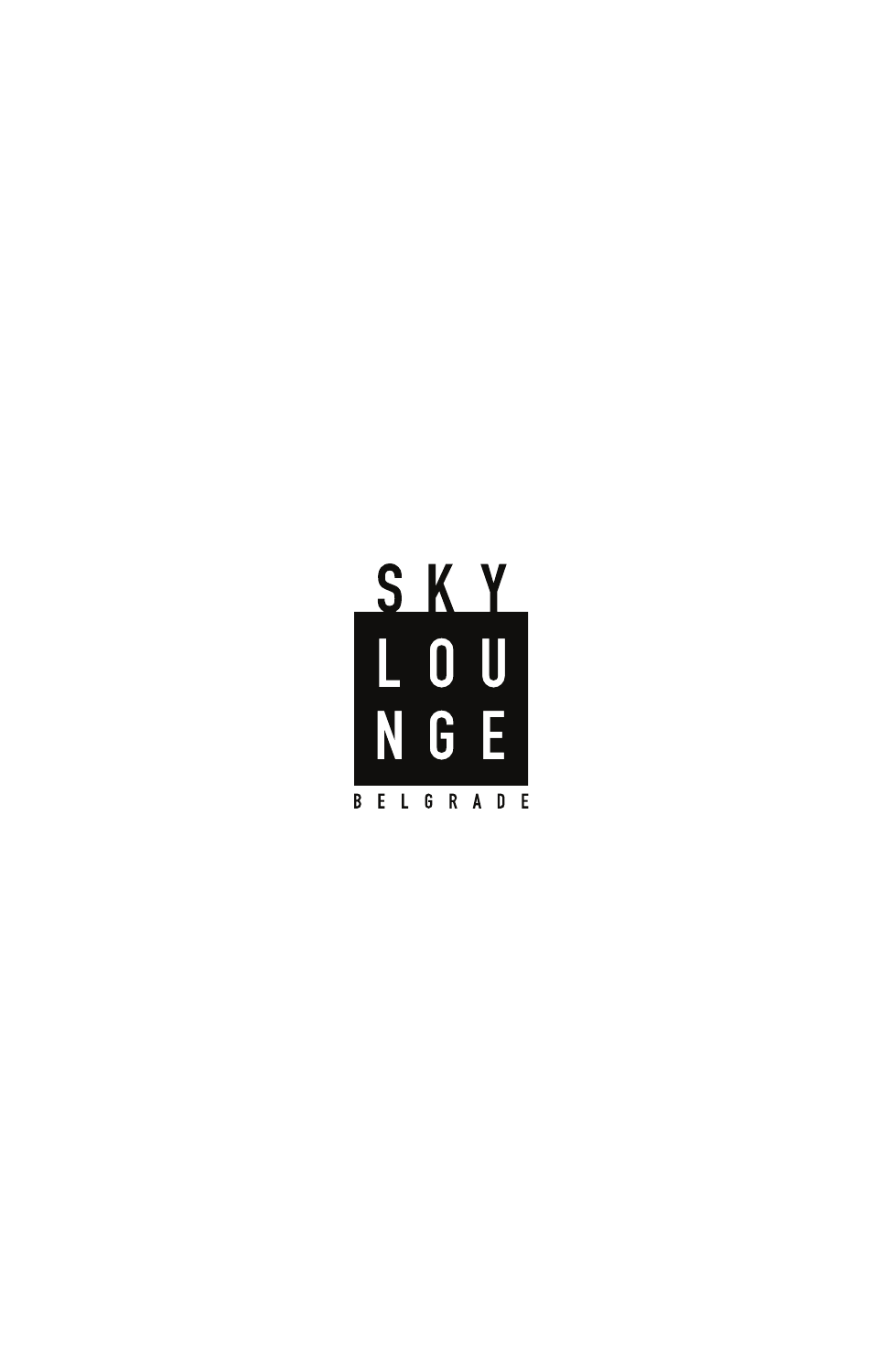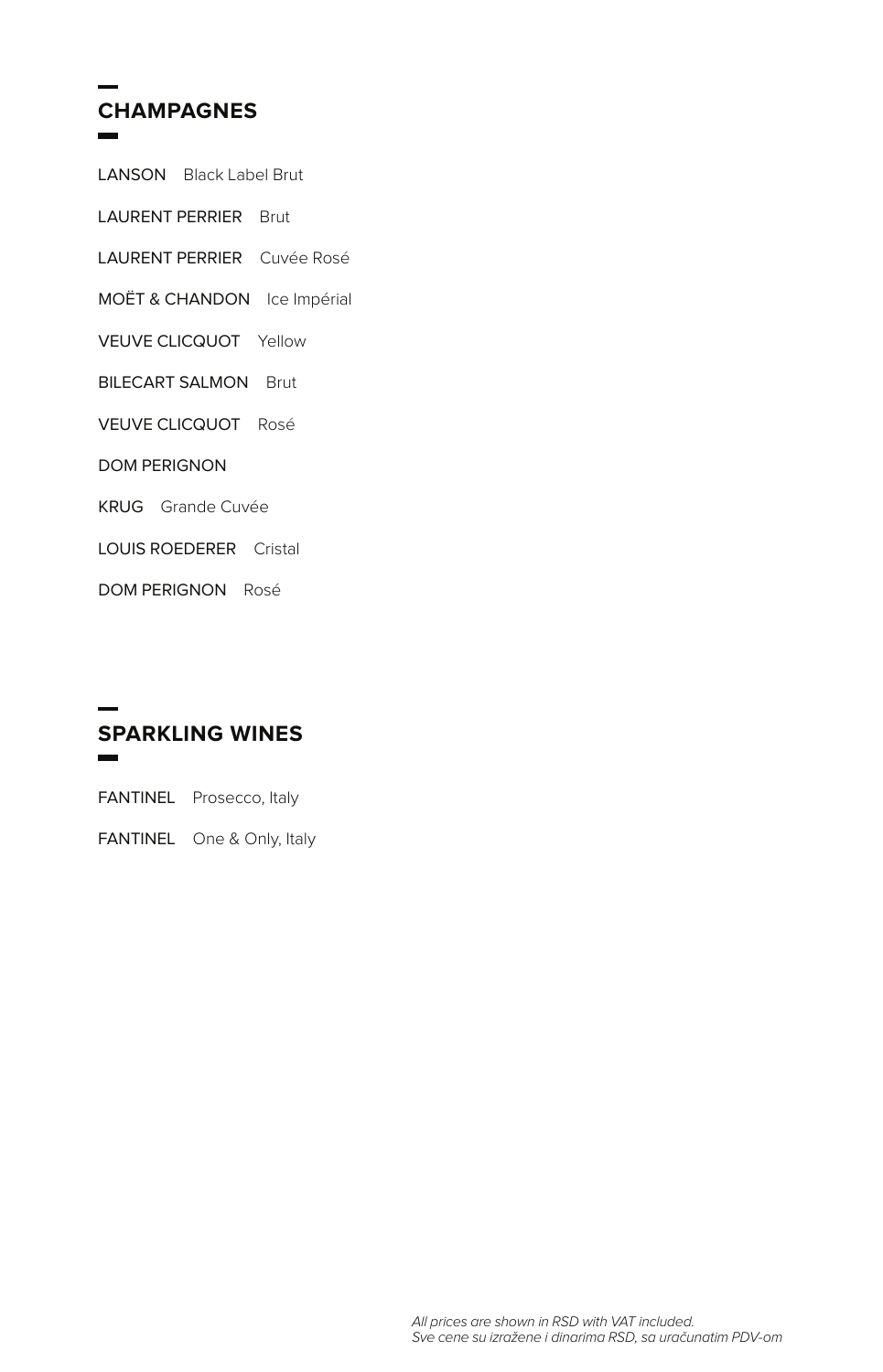# **CHAMPAGNES**

| <b>LANSON</b> Black Label Brut |  |                             |
|--------------------------------|--|-----------------------------|
| <b>LAURENT PERRIER Brut</b>    |  |                             |
|                                |  | LAURENT PERRIER Cuvée Rosé  |
|                                |  | MOËT & CHANDON Ice Impérial |
| <b>VEUVE CLICQUOT</b> Yellow   |  |                             |
| <b>BILECART SALMON Brut</b>    |  |                             |
| <b>VEUVE CLICQUOT Rosé</b>     |  |                             |
| <b>DOM PERIGNON</b>            |  |                             |
| <b>KRUG</b> Grande Cuvée       |  |                             |
| <b>LOUIS ROEDERER</b> Cristal  |  |                             |
| <b>DOM PERIGNON Rosé</b>       |  |                             |

#### **SPARKLING WINES**  $\overline{a}$

FANTINEL Prosecco, Italy

FANTINEL One & Only, Italy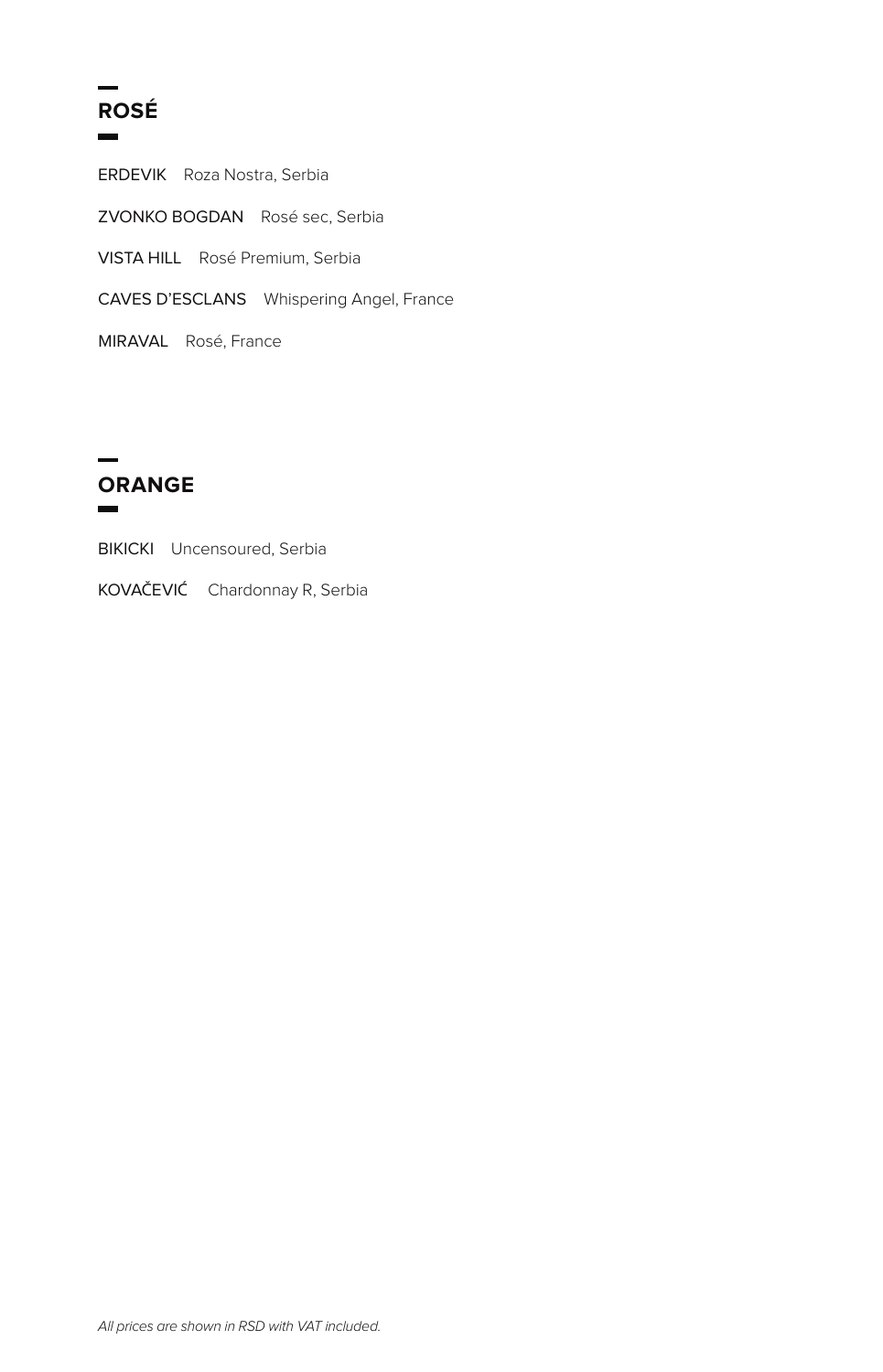# **ROSÉ**

ERDEVIK Roza Nostra, Serbia ZVONKO BOGDAN Rosé sec, Serbia VISTA HILL Rosé Premium, Serbia CAVES D'ESCLANS Whispering Angel, France MIRAVAL Rosé, France



BIKICKI Uncensoured, Serbia

KOVAČEVIĆ Chardonnay R, Serbia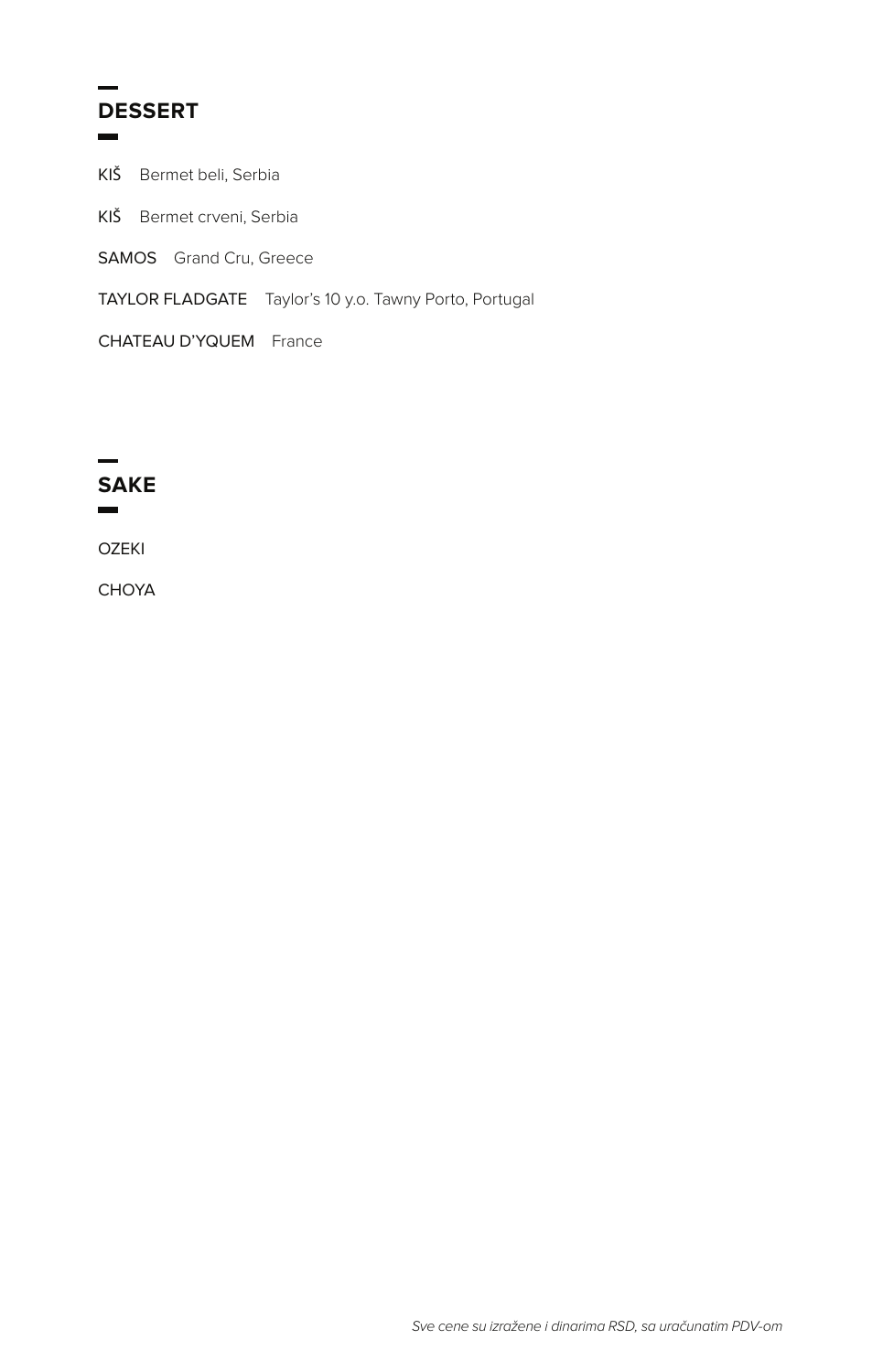## **DESSERT**

KIŠ Bermet beli, Serbia KIŠ Bermet crveni, Serbia SAMOS Grand Cru, Greece TAYLOR FLADGATE Taylor's 10 y.o. Tawny Porto, Portugal

CHATEAU D'YQUEM France



CHOYA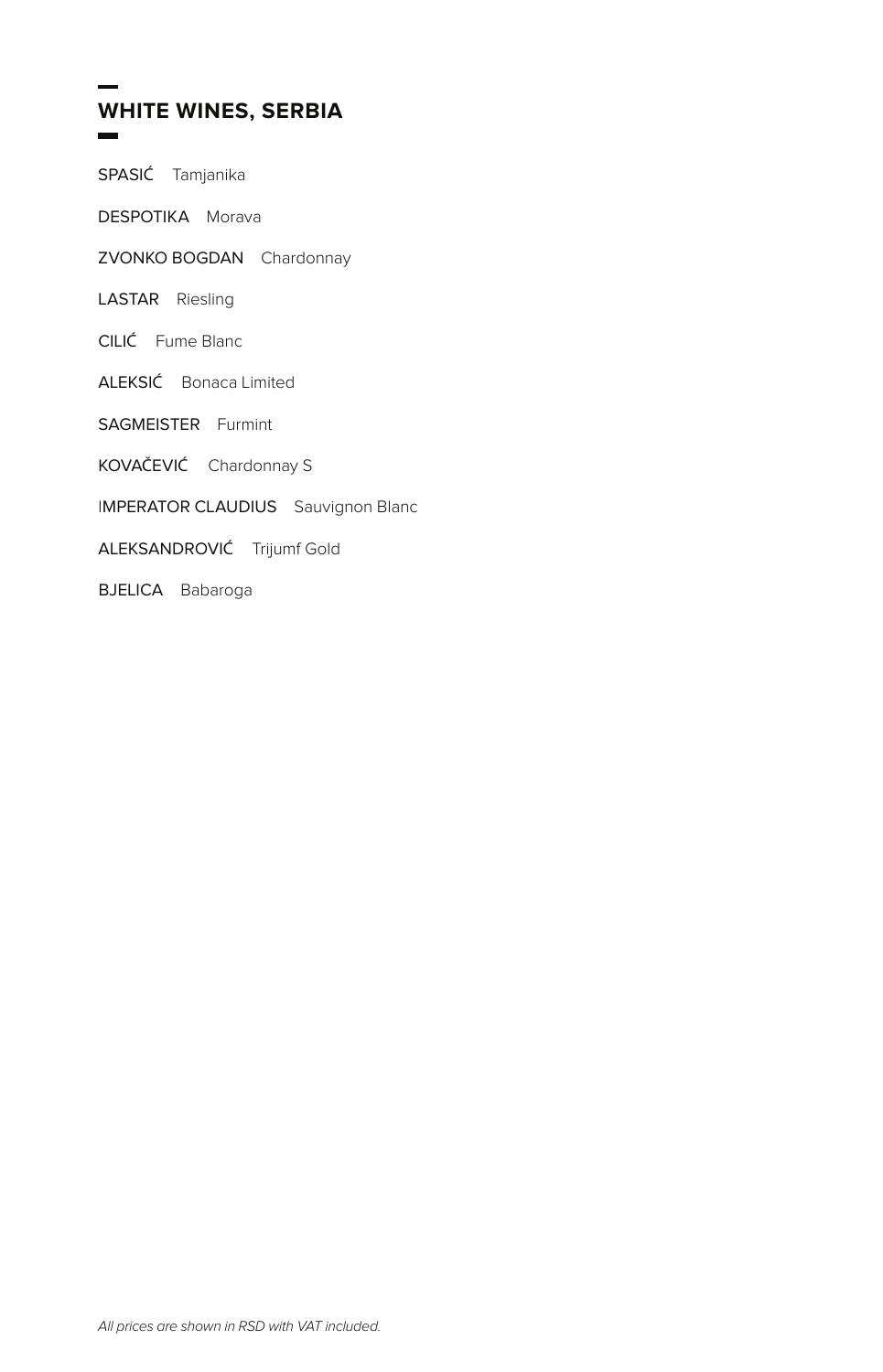#### **WHITE WINES, SERBIA**

SPASIĆ Tamjanika

DESPOTIKA Morava

- ZVONKO BOGDAN Chardonnay
- LASTAR Riesling
- CILIĆ Fume Blanc
- ALEKSIĆ Bonaca Limited
- SAGMEISTER Furmint
- KOVAČEVIĆ Chardonnay S
- **IMPERATOR CLAUDIUS** Sauvignon Blanc
- ALEKSANDROVIĆ Trijumf Gold
- **BJELICA** Babaroga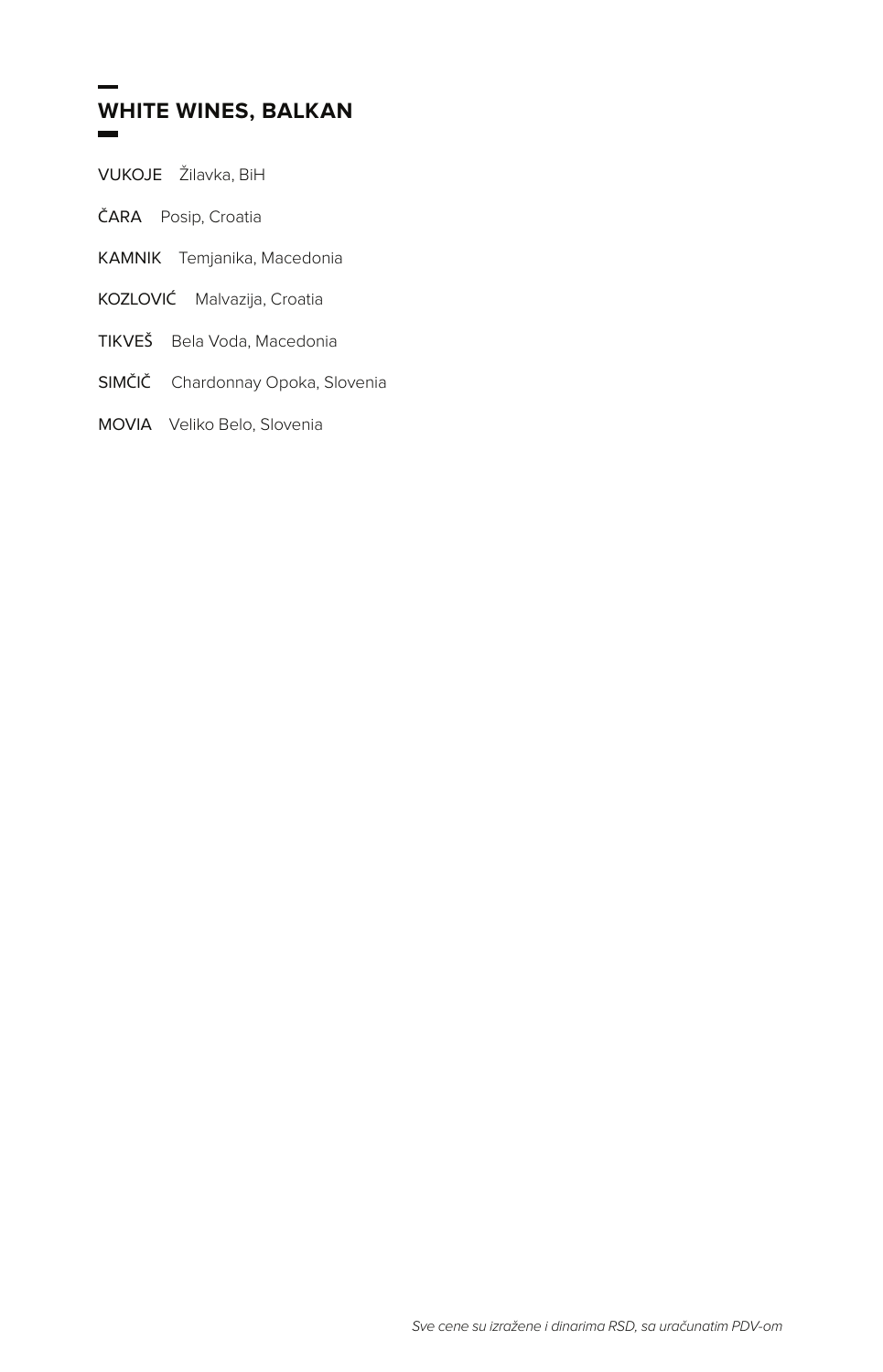#### **WHITE WINES, BALKAN**

VUKOJE Žilavka, BiH

ČARA Posip, Croatia

- KAMNIK Temjanika, Macedonia
- KOZLOVIĆ Malvazija, Croatia
- TIKVEŠ Bela Voda, Macedonia
- SIMČIČ Chardonnay Opoka, Slovenia
- MOVIA Veliko Belo, Slovenia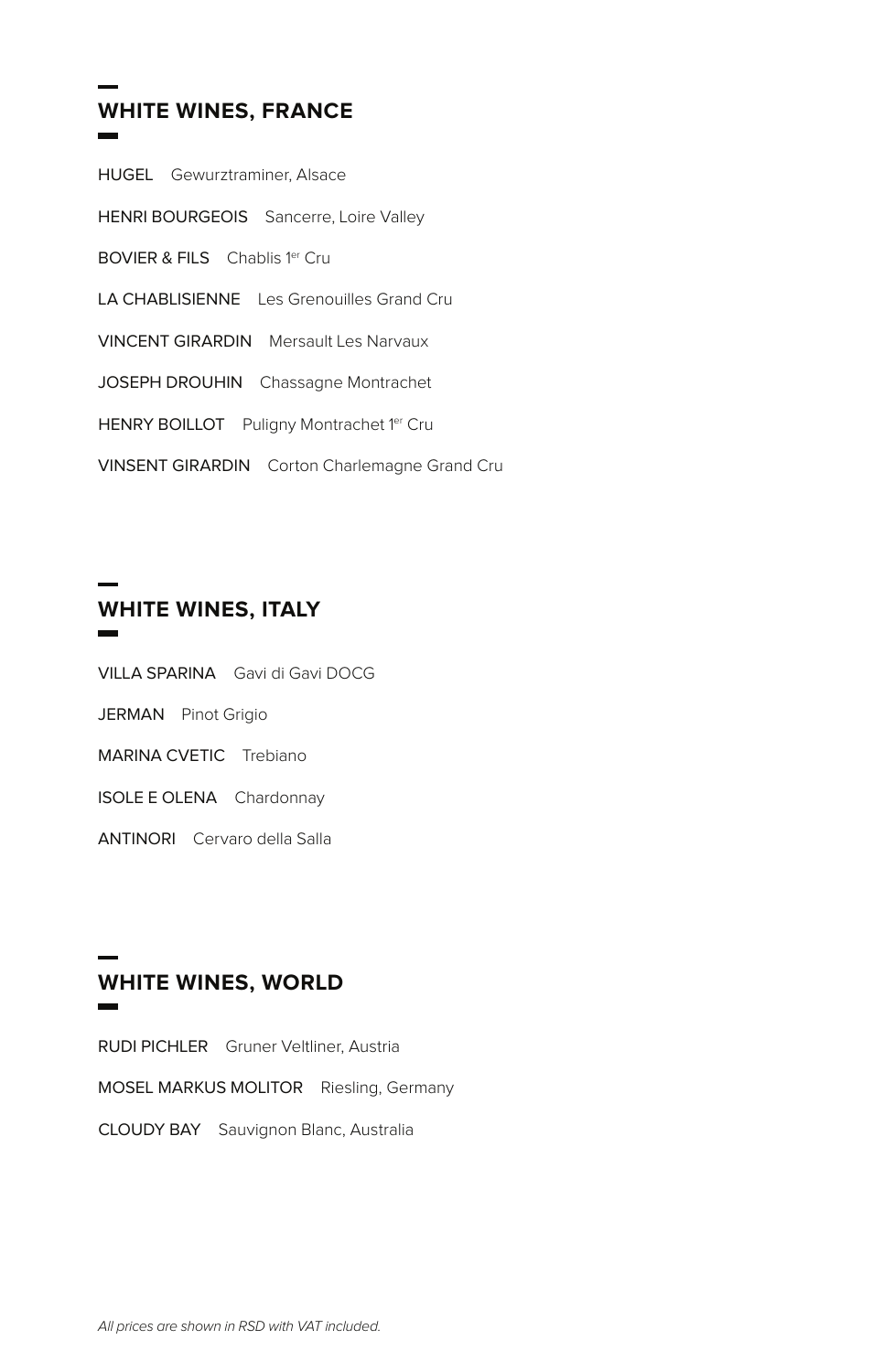#### **WHITE WINES, FRANCE**

| <b>HUGEL</b> Gewurztraminer, Alsace                  |
|------------------------------------------------------|
| HENRI BOURGEOIS Sancerre, Loire Valley               |
| <b>BOVIER &amp; FILS</b> Chablis 1er Cru             |
| <b>LA CHABLISIENNE</b> Les Grenouilles Grand Cru     |
| <b>VINCENT GIRARDIN</b> Mersault Les Narvaux         |
| JOSEPH DROUHIN Chassagne Montrachet                  |
| HENRY BOILLOT Puligny Montrachet 1er Cru             |
| <b>VINSENT GIRARDIN</b> Corton Charlemagne Grand Cru |

### **WHITE WINES, ITALY**

- VILLA SPARINA Gavi di Gavi DOCG
- JERMAN Pinot Grigio
- MARINA CVETIC Trebiano
- ISOLE E OLENA Chardonnay
- ANTINORI Cervaro della Salla

#### **WHITE WINES, WORLD**

RUDI PICHLER Gruner Veltliner, Austria MOSEL MARKUS MOLITOR Riesling, Germany CLOUDY BAY Sauvignon Blanc, Australia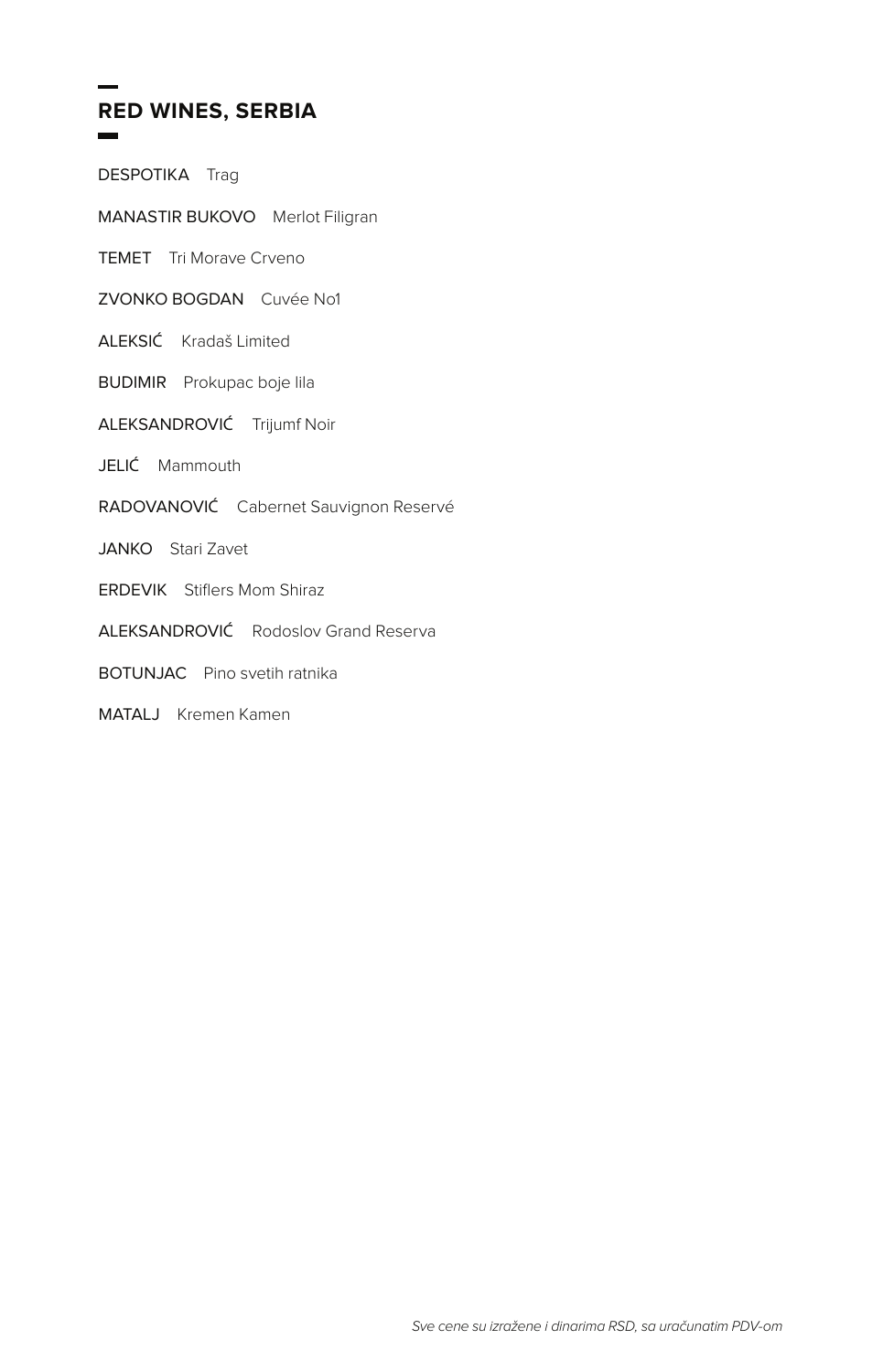# **RED WINES, SERBIA**

DESPOTIKA Trag

MANASTIR BUKOVO Merlot Filigran

TEMET Tri Morave Crveno

ZVONKO BOGDAN Cuvée No1

ALEKSIĆ Kradaš Limited

BUDIMIR Prokupac boje lila

ALEKSANDROVIĆ Trijumf Noir

JELIĆ Mammouth

RADOVANOVIĆ Cabernet Sauvignon Reservé

JANKO Stari Zavet

ERDEVIK Stiflers Mom Shiraz

ALEKSANDROVIĆ Rodoslov Grand Reserva

BOTUNJAC Pino svetih ratnika

MATALJ Kremen Kamen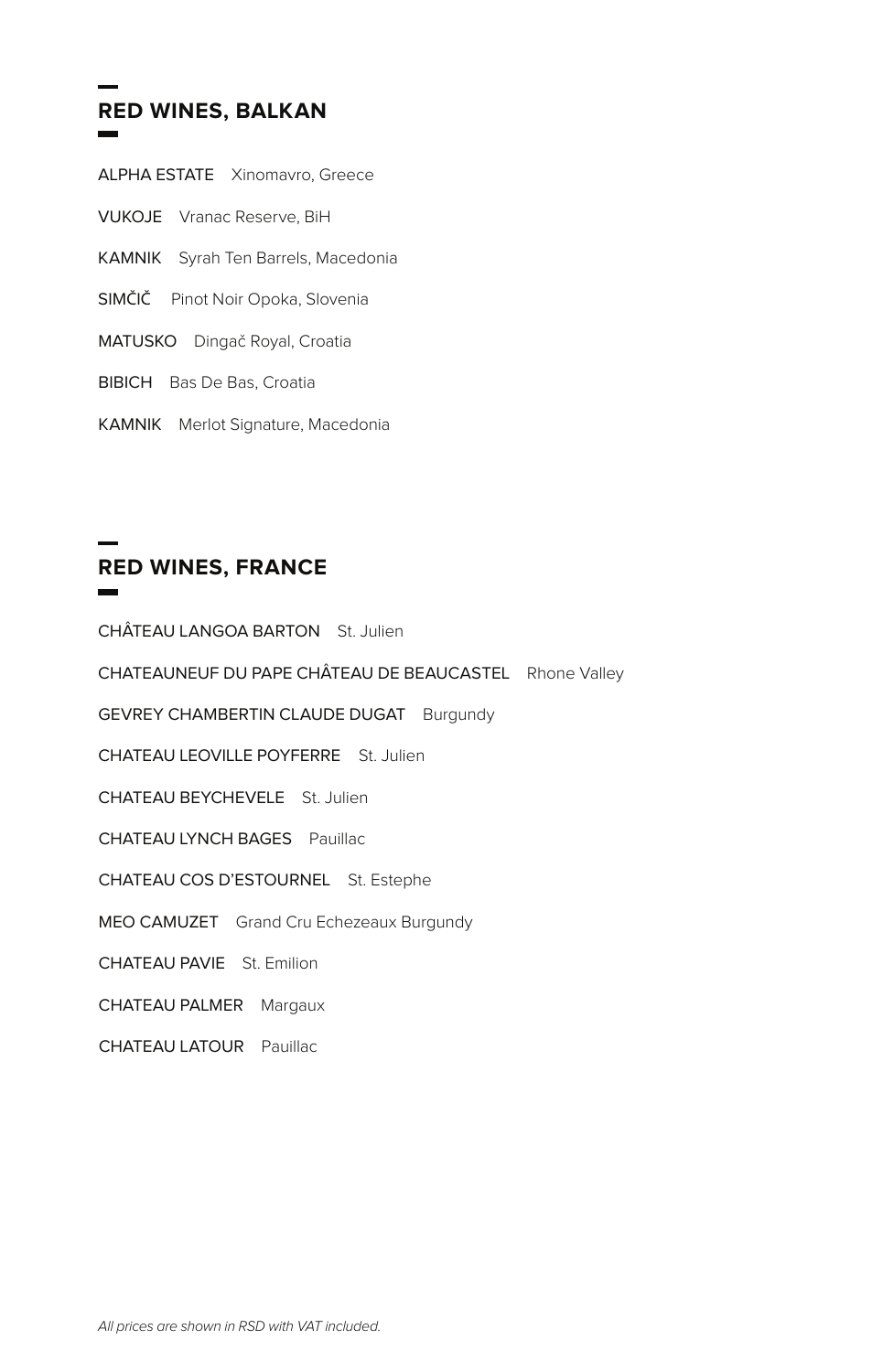# **RED WINES, BALKAN**

- ALPHA ESTATE Xinomavro, Greece
- VUKOJE Vranac Reserve, BiH
- KAMNIK Syrah Ten Barrels, Macedonia
- SIMČIČ Pinot Noir Opoka, Slovenia
- MATUSKO Dingač Royal, Croatia
- BIBICH Bas De Bas, Croatia
- KAMNIK Merlot Signature, Macedonia

# **RED WINES, FRANCE**

CHÂTEAU LANGOA BARTON St. Julien CHATEAUNEUF DU PAPE CHÂTEAU DE BEAUCASTEL Rhone Valley GEVREY CHAMBERTIN CLAUDE DUGAT Burgundy CHATEAU LEOVILLE POYFERRE St. Julien CHATEAU BEYCHEVELE St. Julien CHATEAU LYNCH BAGES Pauillac CHATEAU COS D'ESTOURNEL St. Estephe MEO CAMUZET Grand Cru Echezeaux Burgundy CHATEAU PAVIE St. Emilion CHATEAU PALMER Margaux

CHATEAU LATOUR Pauillac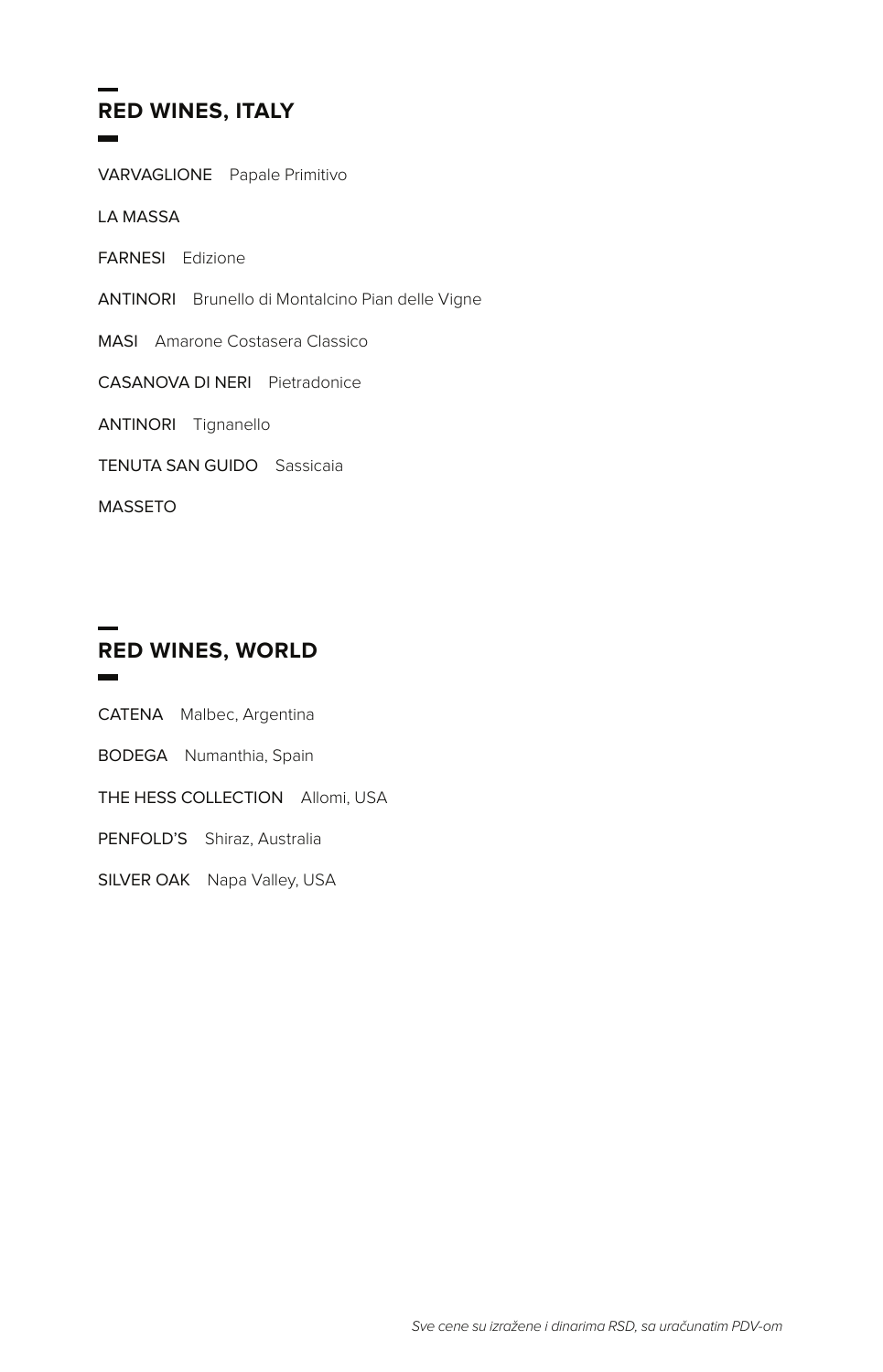## **RED WINES, ITALY**

VARVAGLIONE Papale Primitivo

LA MASSA

FARNESI Edizione

ANTINORI Brunello di Montalcino Pian delle Vigne

MASI Amarone Costasera Classico

CASANOVA DI NERI Pietradonice

ANTINORI Tignanello

TENUTA SAN GUIDO Sassicaia

MASSETO

#### **RED WINES, WORLD**

CATENA Malbec, Argentina

BODEGA Numanthia, Spain

THE HESS COLLECTION Allomi, USA

PENFOLD'S Shiraz, Australia

SILVER OAK Napa Valley, USA